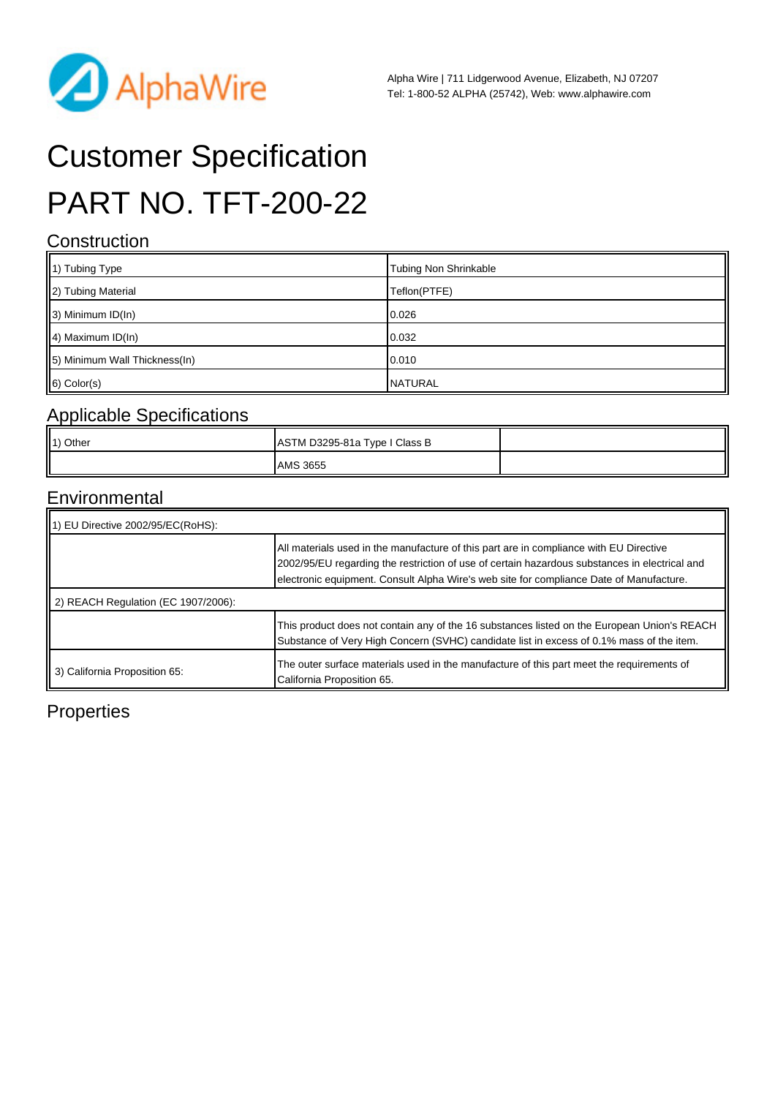

# Customer Specification PART NO. TFT-200-22

#### **Construction**

| 1) Tubing Type                | <b>Tubing Non Shrinkable</b> |
|-------------------------------|------------------------------|
| 2) Tubing Material            | Teflon(PTFE)                 |
| $\parallel$ 3) Minimum ID(In) | 0.026                        |
| $\parallel$ 4) Maximum ID(In) | 0.032                        |
| 5) Minimum Wall Thickness(In) | 0.010                        |
| $6)$ Color(s)                 | <b>NATURAL</b>               |

#### Applicable Specifications

| 1) Other | ASTM D3295-81a Type I Class B |  |
|----------|-------------------------------|--|
|          | <b>AMS 3655</b>               |  |

#### Environmental

| 11) EU Directive 2002/95/EC(RoHS):  |                                                                                                                                                                                                                                                                                    |  |  |
|-------------------------------------|------------------------------------------------------------------------------------------------------------------------------------------------------------------------------------------------------------------------------------------------------------------------------------|--|--|
|                                     | All materials used in the manufacture of this part are in compliance with EU Directive<br>2002/95/EU regarding the restriction of use of certain hazardous substances in electrical and<br>electronic equipment. Consult Alpha Wire's web site for compliance Date of Manufacture. |  |  |
| 2) REACH Regulation (EC 1907/2006): |                                                                                                                                                                                                                                                                                    |  |  |
|                                     | This product does not contain any of the 16 substances listed on the European Union's REACH<br>Substance of Very High Concern (SVHC) candidate list in excess of 0.1% mass of the item.                                                                                            |  |  |
| 3) California Proposition 65:       | The outer surface materials used in the manufacture of this part meet the requirements of<br>California Proposition 65.                                                                                                                                                            |  |  |

## **Properties**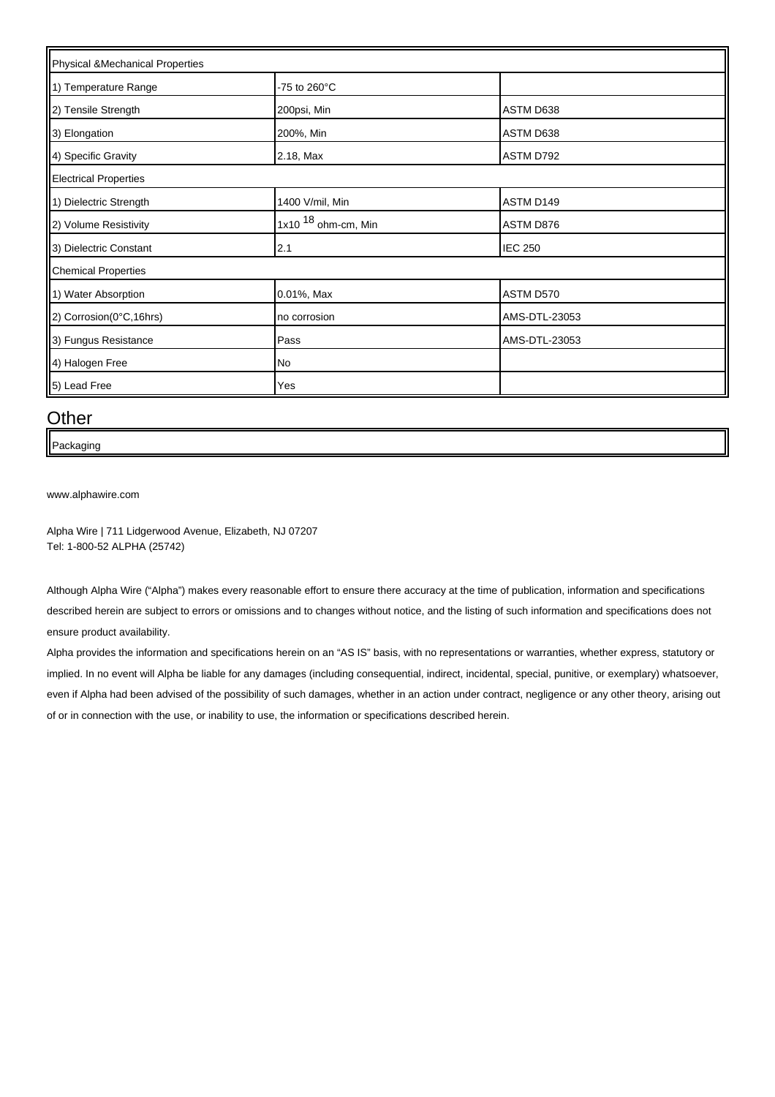| Physical &Mechanical Properties |                         |                |  |  |
|---------------------------------|-------------------------|----------------|--|--|
| 1) Temperature Range            | -75 to 260 $^{\circ}$ C |                |  |  |
| 2) Tensile Strength             | 200psi, Min             | ASTM D638      |  |  |
| 3) Elongation                   | 200%, Min               | ASTM D638      |  |  |
| 4) Specific Gravity             | 2.18, Max               | ASTM D792      |  |  |
| <b>Electrical Properties</b>    |                         |                |  |  |
| 1) Dielectric Strength          | 1400 V/mil, Min         | ASTM D149      |  |  |
| 2) Volume Resistivity           | 1x10 $18$ ohm-cm, Min   | ASTM D876      |  |  |
| 3) Dielectric Constant          | 2.1                     | <b>IEC 250</b> |  |  |
| <b>Chemical Properties</b>      |                         |                |  |  |
| 1) Water Absorption             | 0.01%, Max              | ASTM D570      |  |  |
| 2) Corrosion(0°C,16hrs)         | no corrosion            | AMS-DTL-23053  |  |  |
| 3) Fungus Resistance            | Pass                    | AMS-DTL-23053  |  |  |
| 4) Halogen Free                 | No                      |                |  |  |
| 5) Lead Free                    | Yes                     |                |  |  |

#### **Other**

Packaging

[www.alphawire.com](http://www.alphawire.com)

Alpha Wire | 711 Lidgerwood Avenue, Elizabeth, NJ 07207 Tel: 1-800-52 ALPHA (25742)

Although Alpha Wire ("Alpha") makes every reasonable effort to ensure there accuracy at the time of publication, information and specifications described herein are subject to errors or omissions and to changes without notice, and the listing of such information and specifications does not ensure product availability.

Alpha provides the information and specifications herein on an "AS IS" basis, with no representations or warranties, whether express, statutory or implied. In no event will Alpha be liable for any damages (including consequential, indirect, incidental, special, punitive, or exemplary) whatsoever, even if Alpha had been advised of the possibility of such damages, whether in an action under contract, negligence or any other theory, arising out of or in connection with the use, or inability to use, the information or specifications described herein.